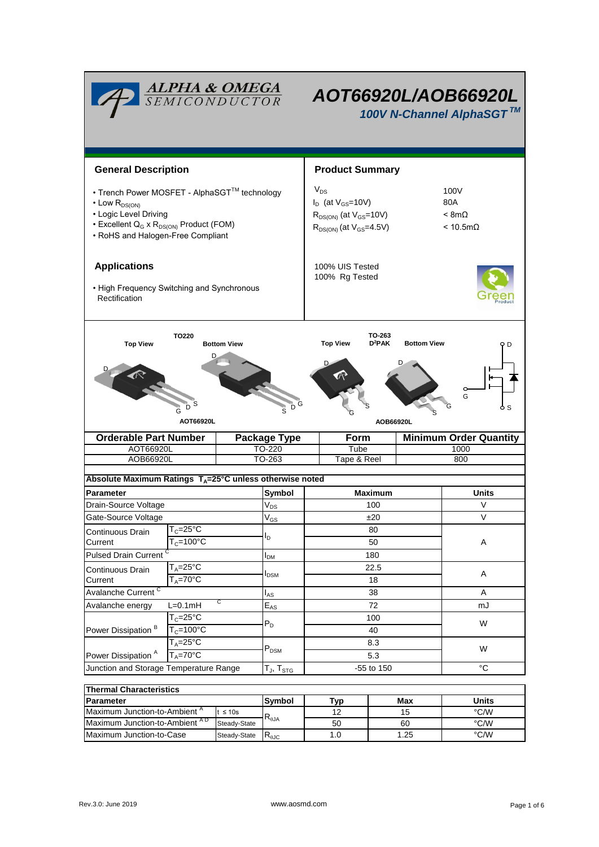|                                                                                                                                                                                                          | <b>ALPHA &amp; OMEGA</b><br>SEMICONDUCTOR |                                                                                                             |                                  | AOT66920L/AOB66920L<br>100V N-Channel AlphaSGT™ |                                                        |           |                      |  |  |  |
|----------------------------------------------------------------------------------------------------------------------------------------------------------------------------------------------------------|-------------------------------------------|-------------------------------------------------------------------------------------------------------------|----------------------------------|-------------------------------------------------|--------------------------------------------------------|-----------|----------------------|--|--|--|
| <b>General Description</b>                                                                                                                                                                               |                                           |                                                                                                             |                                  | <b>Product Summary</b>                          |                                                        |           |                      |  |  |  |
| • Trench Power MOSFET - AlphaSGT™ technology<br>$\cdot$ Low $R_{DS(ON)}$<br>• Logic Level Driving<br>• Excellent Q <sub>G</sub> x R <sub>DS(ON)</sub> Product (FOM)<br>• RoHS and Halogen-Free Compliant |                                           | $V_{DS}$<br>$I_D$ (at $V_{GS}$ =10V)<br>$R_{DS(ON)}$ (at $V_{GS}$ =10V)<br>$R_{DS(ON)}$ (at $V_{GS}$ =4.5V) |                                  |                                                 | 100V<br>80A<br>$< 8m\Omega$<br>$< 10.5 \text{m}\Omega$ |           |                      |  |  |  |
| <b>Applications</b><br>• High Frequency Switching and Synchronous<br>Rectification                                                                                                                       |                                           |                                                                                                             |                                  | 100% UIS Tested<br>100% Rg Tested               |                                                        |           |                      |  |  |  |
| <b>TO220</b><br>TO-263<br><b>Top View</b><br><b>Bottom View</b><br><b>Top View</b><br>D <sup>2</sup> PAK<br><b>Bottom View</b><br>D<br>G<br>D<br>AOT66920L<br>AOB66920L                                  |                                           |                                                                                                             |                                  |                                                 |                                                        |           |                      |  |  |  |
| <b>Orderable Part Number</b>                                                                                                                                                                             |                                           |                                                                                                             | <b>Package Type</b>              | Form<br><b>Minimum Order Quantity</b>           |                                                        |           |                      |  |  |  |
| AOT66920L                                                                                                                                                                                                |                                           |                                                                                                             | TO-220                           | Tube                                            |                                                        | 1000      |                      |  |  |  |
| TO-263<br>Tape & Reel<br>AOB66920L<br>800<br>Absolute Maximum Ratings $T_A = 25^\circ \text{C}$ unless otherwise noted                                                                                   |                                           |                                                                                                             |                                  |                                                 |                                                        |           |                      |  |  |  |
| <b>Parameter</b>                                                                                                                                                                                         |                                           |                                                                                                             | Symbol                           | <b>Maximum</b>                                  |                                                        | Units     |                      |  |  |  |
| Drain-Source Voltage                                                                                                                                                                                     |                                           |                                                                                                             | $V_{DS}$                         |                                                 | 100                                                    |           | V                    |  |  |  |
| Gate-Source Voltage                                                                                                                                                                                      |                                           |                                                                                                             | $V_{GS}$                         | ±20                                             |                                                        |           | V                    |  |  |  |
| $T_c = 25$ °C<br>Continuous Drain<br>$T_c = 100^{\circ}C$<br>Current<br>Pulsed Drain Current <sup>C</sup>                                                                                                |                                           | I <sub>D</sub>                                                                                              |                                  | 80<br>50                                        |                                                        |           | A                    |  |  |  |
|                                                                                                                                                                                                          |                                           |                                                                                                             | 180                              |                                                 |                                                        |           |                      |  |  |  |
| $T_A = 25$ °C                                                                                                                                                                                            |                                           |                                                                                                             | $I_{DM}$                         |                                                 | 22.5                                                   |           |                      |  |  |  |
| Continuous Drain<br>Current                                                                                                                                                                              | $T_A = 70$ °C                             |                                                                                                             | <b>I</b> <sub>DSM</sub>          | 18                                              |                                                        |           | Α                    |  |  |  |
| Avalanche Current <sup>C</sup>                                                                                                                                                                           |                                           |                                                                                                             | $I_{AS}$                         |                                                 | 38                                                     |           | Α                    |  |  |  |
| C<br>$L=0.1mH$<br>Avalanche energy                                                                                                                                                                       |                                           |                                                                                                             | $\mathsf{E}_{\mathsf{AS}}$       |                                                 | 72                                                     |           | mJ                   |  |  |  |
|                                                                                                                                                                                                          | $T_c = 25^\circ \overline{C}$             |                                                                                                             |                                  | 100                                             |                                                        |           | W                    |  |  |  |
| Power Dissipation <sup>B</sup>                                                                                                                                                                           | $T_c = 100\overline{°C}$                  |                                                                                                             | $P_D$                            |                                                 | 40                                                     |           |                      |  |  |  |
| Power Dissipation <sup>A</sup>                                                                                                                                                                           | $T_A = 25^{\circ}C$<br>$T_A = 70$ °C      |                                                                                                             | $\mathsf{P}_\mathsf{DSM}$        | 8.3<br>5.3                                      |                                                        |           | W                    |  |  |  |
| Junction and Storage Temperature Range                                                                                                                                                                   |                                           |                                                                                                             | $T_J$ , $T_{STG}$                | -55 to 150                                      |                                                        |           | $^{\circ}C$          |  |  |  |
|                                                                                                                                                                                                          |                                           |                                                                                                             |                                  |                                                 |                                                        |           |                      |  |  |  |
| <b>Thermal Characteristics</b>                                                                                                                                                                           |                                           |                                                                                                             |                                  |                                                 |                                                        |           |                      |  |  |  |
| Parameter<br>Maximum Junction-to-Ambient <sup>A</sup><br>$t \leq 10s$                                                                                                                                    |                                           |                                                                                                             | Symbol                           | <b>Typ</b><br>12                                |                                                        | Max<br>15 | <b>Units</b><br>°C/W |  |  |  |
| Maximum Junction-to-Ambient AD                                                                                                                                                                           |                                           | Steady-State                                                                                                | $\mathsf{R}_{\theta\mathsf{JA}}$ | 50                                              |                                                        | 60        | $\degree$ C/W        |  |  |  |
| Maximum Junction-to-Case                                                                                                                                                                                 |                                           | Steady-State                                                                                                | $R_{\theta J\underline{C}}$      | 1.0                                             |                                                        | 1.25      | °C/W                 |  |  |  |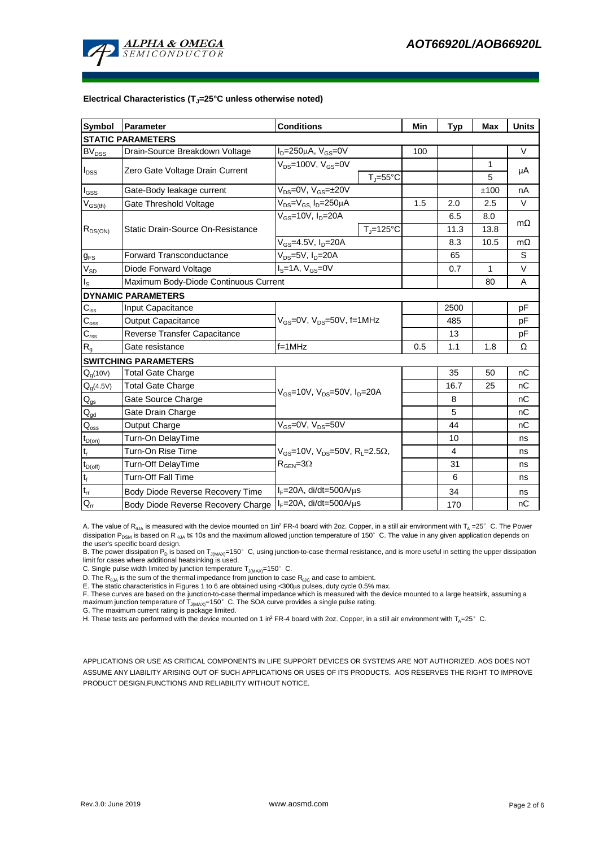

#### **Electrical Characteristics (TJ=25°C unless otherwise noted)**

| <b>Symbol</b>                | Parameter                                                                       | <b>Conditions</b>                                                                                           |                     |     | <b>Typ</b>   | <b>Max</b> | <b>Units</b> |  |  |  |  |  |
|------------------------------|---------------------------------------------------------------------------------|-------------------------------------------------------------------------------------------------------------|---------------------|-----|--------------|------------|--------------|--|--|--|--|--|
| <b>STATIC PARAMETERS</b>     |                                                                                 |                                                                                                             |                     |     |              |            |              |  |  |  |  |  |
| $\mathsf{BV}_{\mathsf{DSS}}$ | Drain-Source Breakdown Voltage                                                  | $I_D = 250 \mu A$ , $V_{GS} = 0V$                                                                           |                     |     |              |            | V            |  |  |  |  |  |
| I <sub>DSS</sub>             |                                                                                 | V <sub>DS</sub> =100V, V <sub>GS</sub> =0V                                                                  |                     |     |              | 1          |              |  |  |  |  |  |
|                              | Zero Gate Voltage Drain Current                                                 |                                                                                                             | $T_i = 55^{\circ}C$ |     |              | 5          | μA           |  |  |  |  |  |
| l <sub>GSS</sub>             | Gate-Body leakage current                                                       | $V_{DS} = 0V$ , $V_{GS} = \pm 20V$                                                                          |                     |     |              | ±100       | nA           |  |  |  |  |  |
| $V_{GS(th)}$                 | Gate Threshold Voltage                                                          | $V_{DS} = V_{GS}$ , $I_D = 250 \mu A$                                                                       |                     | 1.5 | 2.0          | 2.5        | $\vee$       |  |  |  |  |  |
| $R_{DS(ON)}$                 | Static Drain-Source On-Resistance                                               | $V_{GS}$ =10V, I <sub>D</sub> =20A                                                                          |                     |     | 6.5          | 8.0        | $m\Omega$    |  |  |  |  |  |
|                              |                                                                                 |                                                                                                             | $T_J = 125$ °C      |     | 11.3         | 13.8       |              |  |  |  |  |  |
|                              |                                                                                 | $\overline{V_{GS}}$ =4.5V, I <sub>D</sub> =20A                                                              |                     |     | 8.3          | 10.5       | $m\Omega$    |  |  |  |  |  |
| $g_{FS}$                     | $\overline{V_{DS}}$ =5V, I <sub>D</sub> =20A<br><b>Forward Transconductance</b> |                                                                                                             |                     |     | 65           |            | S            |  |  |  |  |  |
| $V_{SD}$                     | Diode Forward Voltage                                                           | $IS=1A, VGS=0V$                                                                                             |                     | 0.7 | $\mathbf{1}$ | $\vee$     |              |  |  |  |  |  |
| ls                           | Maximum Body-Diode Continuous Current                                           |                                                                                                             |                     | 80  | A            |            |              |  |  |  |  |  |
|                              | <b>DYNAMIC PARAMETERS</b>                                                       |                                                                                                             |                     |     |              |            |              |  |  |  |  |  |
| $C_{\text{iss}}$             | <b>Input Capacitance</b>                                                        |                                                                                                             |                     |     |              |            | рF           |  |  |  |  |  |
| $C_{\rm oss}$                | <b>Output Capacitance</b>                                                       | V <sub>GS</sub> =0V, V <sub>DS</sub> =50V, f=1MHz                                                           |                     | 485 |              | рF         |              |  |  |  |  |  |
| $C_{rss}$                    | Reverse Transfer Capacitance                                                    |                                                                                                             |                     | 13  |              | рF         |              |  |  |  |  |  |
| $R_{g}$                      | Gate resistance                                                                 | $f = 1$ MHz                                                                                                 |                     | 0.5 | 1.1          | 1.8        | Ω            |  |  |  |  |  |
|                              | <b>SWITCHING PARAMETERS</b>                                                     |                                                                                                             |                     |     |              |            |              |  |  |  |  |  |
| $Q_g(10V)$                   | <b>Total Gate Charge</b>                                                        | $V_{GS}$ =10V, $V_{DS}$ =50V, $I_{D}$ =20A                                                                  |                     |     | 35           | 50         | nC           |  |  |  |  |  |
| $Q_g(4.5V)$                  | Total Gate Charge                                                               |                                                                                                             |                     |     | 16.7         | 25         | nC           |  |  |  |  |  |
| $Q_{gs}$                     | Gate Source Charge                                                              |                                                                                                             |                     |     | 8            |            | nC           |  |  |  |  |  |
| $\mathsf{Q}_{\mathsf{gd}}$   | Gate Drain Charge                                                               |                                                                                                             |                     | 5   |              | nC         |              |  |  |  |  |  |
| $\mathsf{Q}_{\mathsf{oss}}$  | Output Charge                                                                   | $V_{GS}$ =0V, $V_{DS}$ =50V                                                                                 |                     |     | 44           |            | nC           |  |  |  |  |  |
| $t_{D(on)}$                  | Turn-On DelayTime                                                               | $V_{GS}$ =10V, $V_{DS}$ =50V, R <sub>1</sub> =2.5 $\Omega$ ,<br>$\mathsf{R}_{\mathsf{GEN}}\!\!=\!\!3\Omega$ |                     |     | 10           |            | ns           |  |  |  |  |  |
| $t_{\sf r}$                  | Turn-On Rise Time                                                               |                                                                                                             |                     |     | 4            |            | ns           |  |  |  |  |  |
| $t_{D(off)}$                 | Turn-Off DelayTime                                                              |                                                                                                             |                     |     | 31           |            | ns           |  |  |  |  |  |
| $t_f$                        | <b>Turn-Off Fall Time</b>                                                       |                                                                                                             |                     | 6   |              | ns         |              |  |  |  |  |  |
| $\mathfrak{t}_{\text{rr}}$   | Body Diode Reverse Recovery Time                                                | $I_F = 20A$ , di/dt=500A/ $\mu$ s                                                                           |                     |     | 34           |            | ns           |  |  |  |  |  |
| $Q_{rr}$                     | $I_F = 20A$ , di/dt=500A/ $\mu$ s<br>Body Diode Reverse Recovery Charge         |                                                                                                             |                     |     | 170          |            | nC           |  |  |  |  |  |

A. The value of  $R_{0JA}$  is measured with the device mounted on 1in<sup>2</sup> FR-4 board with 2oz. Copper, in a still air environment with  $T_A = 25^\circ$  C. The Power dissipation P<sub>DSM</sub> is based on R  $_{0}$ A t≤ 10s and the maximum allowed junction temperature of 150°C. The value in any given application depends on the user's specific board design.

B. The power dissipation P<sub>D</sub> is based on T<sub>J(MAX)</sub>=150°C, using junction-to-case thermal resistance, and is more useful in setting the upper dissipation limit for cases where additional heatsinking is used.

C. Single pulse width limited by junction temperature  $T_{\text{J}(MAX)}$ =150°C.

D. The  $R_{0JA}$  is the sum of the thermal impedance from junction to case  $R_{0JC}$  and case to ambient.

E. The static characteristics in Figures 1 to 6 are obtained using <300us pulses, duty cycle 0.5% max.

F. These curves are based on the junction-to-case thermal impedance which is measured with the device mounted to a large heatsink, assuming a maximum junction temperature of  $T_{J(MAN)}=150^\circ$  C. The SOA curve provides a single pulse rating.

G. The maximum current rating is package limited.

H. These tests are performed with the device mounted on 1 in<sup>2</sup> FR-4 board with 2oz. Copper, in a still air environment with T<sub>A</sub>=25°C.

APPLICATIONS OR USE AS CRITICAL COMPONENTS IN LIFE SUPPORT DEVICES OR SYSTEMS ARE NOT AUTHORIZED. AOS DOES NOT ASSUME ANY LIABILITY ARISING OUT OF SUCH APPLICATIONS OR USES OF ITS PRODUCTS. AOS RESERVES THE RIGHT TO IMPROVE PRODUCT DESIGN,FUNCTIONS AND RELIABILITY WITHOUT NOTICE.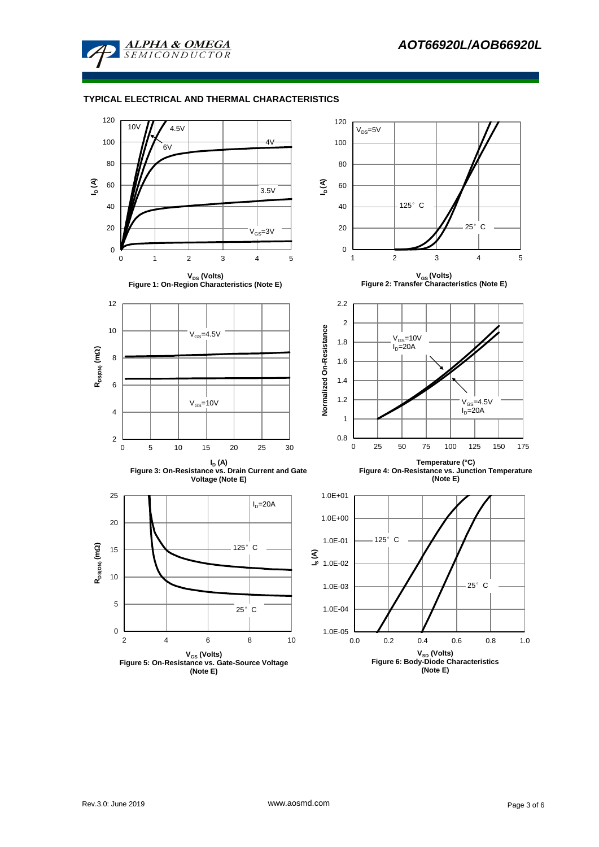

### **TYPICAL ELECTRICAL AND THERMAL CHARACTERISTICS**

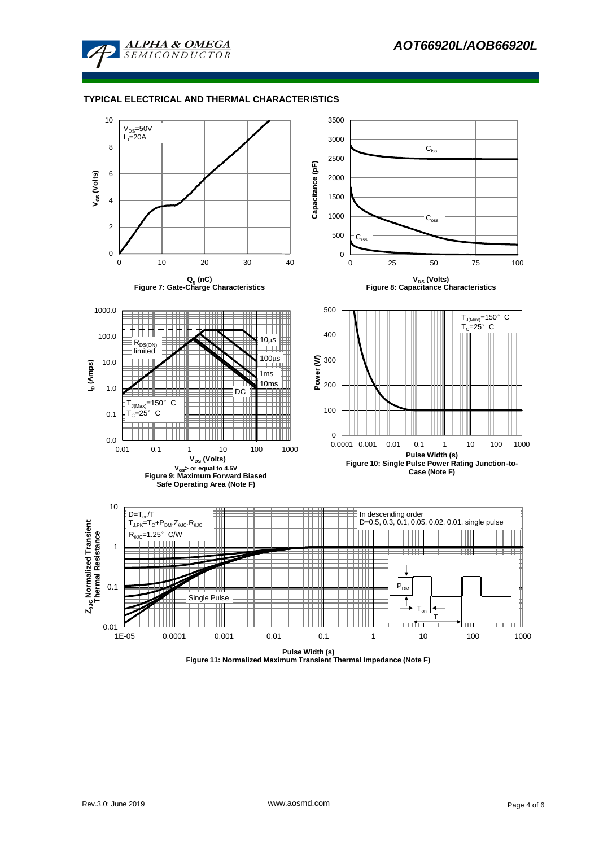

#### **TYPICAL ELECTRICAL AND THERMAL CHARACTERISTICS**

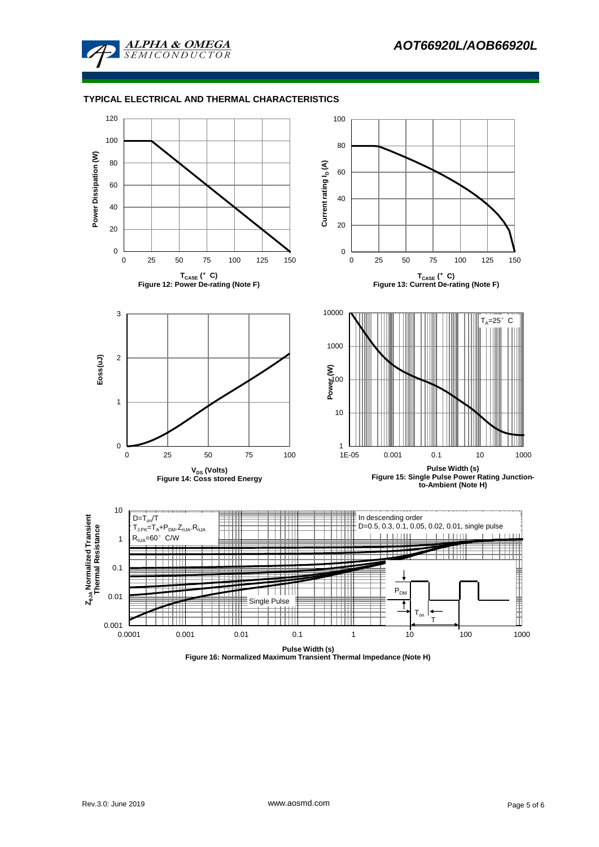

#### **TYPICAL ELECTRICAL AND THERMAL CHARACTERISTICS**



**Figure 16: Normalized Maximum Transient Thermal Impedance (Note H)**